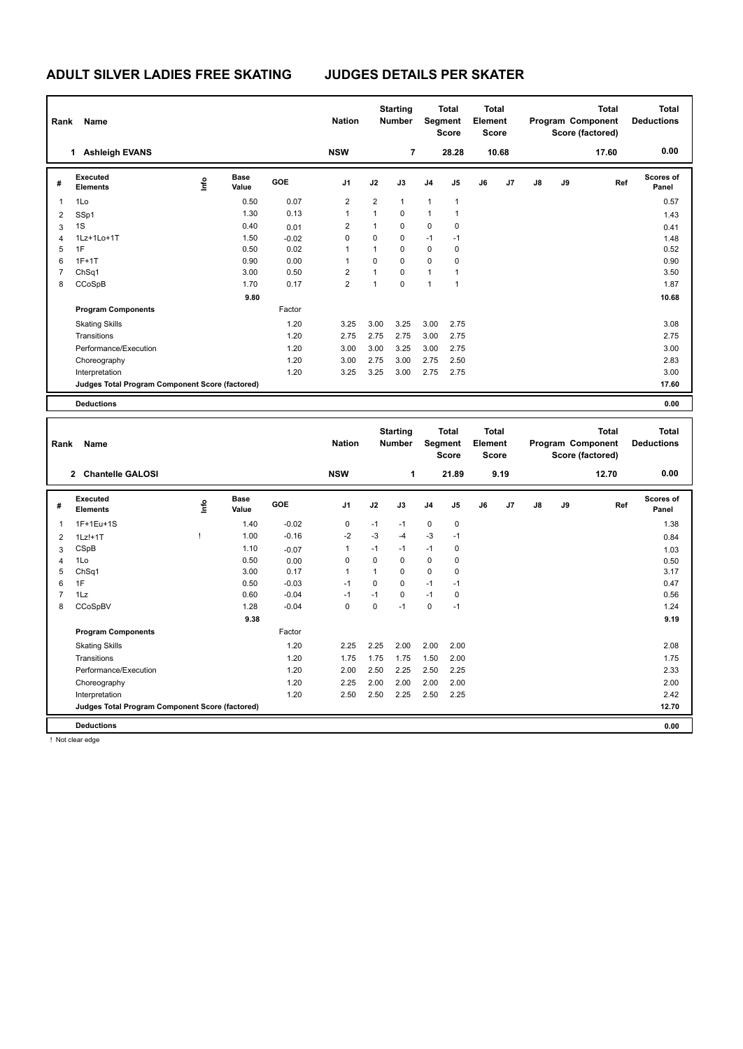| Rank           | Name                                            |                                  |                      |            | <b>Nation</b>  |                | <b>Starting</b><br><b>Number</b> | Segment        | <b>Total</b><br><b>Score</b> | <b>Total</b><br>Element<br><b>Score</b> |       |               |    | <b>Total</b><br>Program Component<br>Score (factored) | <b>Total</b><br><b>Deductions</b> |
|----------------|-------------------------------------------------|----------------------------------|----------------------|------------|----------------|----------------|----------------------------------|----------------|------------------------------|-----------------------------------------|-------|---------------|----|-------------------------------------------------------|-----------------------------------|
|                | <b>Ashleigh EVANS</b><br>1.                     |                                  |                      |            | <b>NSW</b>     |                | 7                                |                | 28.28                        |                                         | 10.68 |               |    | 17.60                                                 | 0.00                              |
| #              | Executed<br><b>Elements</b>                     | $\mathop{\mathsf{Irr}}\nolimits$ | <b>Base</b><br>Value | <b>GOE</b> | J <sub>1</sub> | J2             | J3                               | J <sub>4</sub> | J5                           | J6                                      | J7    | $\mathsf{J}8$ | J9 | Ref                                                   | Scores of<br>Panel                |
| $\overline{1}$ | 1Lo                                             |                                  | 0.50                 | 0.07       | $\overline{2}$ | $\overline{2}$ | $\mathbf{1}$                     | $\mathbf{1}$   | 1                            |                                         |       |               |    |                                                       | 0.57                              |
| 2              | SSp1                                            |                                  | 1.30                 | 0.13       | 1              | 1              | 0                                | $\mathbf{1}$   | 1                            |                                         |       |               |    |                                                       | 1.43                              |
| 3              | 1S                                              |                                  | 0.40                 | 0.01       | 2              | $\mathbf{1}$   | $\mathbf 0$                      | $\mathbf 0$    | 0                            |                                         |       |               |    |                                                       | 0.41                              |
| $\overline{4}$ | 1Lz+1Lo+1T                                      |                                  | 1.50                 | $-0.02$    | 0              | $\mathbf 0$    | $\mathbf 0$                      | $-1$           | $-1$                         |                                         |       |               |    |                                                       | 1.48                              |
| 5              | 1F                                              |                                  | 0.50                 | 0.02       | 1              | 1              | 0                                | 0              | 0                            |                                         |       |               |    |                                                       | 0.52                              |
| 6              | $1F+1T$                                         |                                  | 0.90                 | 0.00       | 1              | $\Omega$       | $\mathbf 0$                      | $\mathbf 0$    | 0                            |                                         |       |               |    |                                                       | 0.90                              |
| 7              | ChSq1                                           |                                  | 3.00                 | 0.50       | 2              | $\mathbf{1}$   | $\Omega$                         | $\mathbf{1}$   | 1                            |                                         |       |               |    |                                                       | 3.50                              |
| 8              | CCoSpB                                          |                                  | 1.70                 | 0.17       | $\overline{2}$ | $\overline{1}$ | $\mathbf 0$                      | $\overline{1}$ | 1                            |                                         |       |               |    |                                                       | 1.87                              |
|                |                                                 |                                  | 9.80                 |            |                |                |                                  |                |                              |                                         |       |               |    |                                                       | 10.68                             |
|                | <b>Program Components</b>                       |                                  |                      | Factor     |                |                |                                  |                |                              |                                         |       |               |    |                                                       |                                   |
|                | <b>Skating Skills</b>                           |                                  |                      | 1.20       | 3.25           | 3.00           | 3.25                             | 3.00           | 2.75                         |                                         |       |               |    |                                                       | 3.08                              |
|                | Transitions                                     |                                  |                      | 1.20       | 2.75           | 2.75           | 2.75                             | 3.00           | 2.75                         |                                         |       |               |    |                                                       | 2.75                              |
|                | Performance/Execution                           |                                  |                      | 1.20       | 3.00           | 3.00           | 3.25                             | 3.00           | 2.75                         |                                         |       |               |    |                                                       | 3.00                              |
|                | Choreography                                    |                                  |                      | 1.20       | 3.00           | 2.75           | 3.00                             | 2.75           | 2.50                         |                                         |       |               |    |                                                       | 2.83                              |
|                | Interpretation                                  |                                  |                      | 1.20       | 3.25           | 3.25           | 3.00                             | 2.75           | 2.75                         |                                         |       |               |    |                                                       | 3.00                              |
|                | Judges Total Program Component Score (factored) |                                  |                      |            |                |                |                                  |                |                              |                                         |       |               |    |                                                       | 17.60                             |
|                | <b>Deductions</b>                               |                                  |                      |            |                |                |                                  |                |                              |                                         |       |               |    |                                                       | 0.00                              |

| Rank | Name                                            |      |                      |         | <b>Nation</b>  |          | <b>Starting</b><br><b>Number</b> | Segment        | <b>Total</b><br><b>Score</b> | <b>Total</b><br>Element<br><b>Score</b> |      |               |    | <b>Total</b><br>Program Component<br>Score (factored) | Total<br><b>Deductions</b> |
|------|-------------------------------------------------|------|----------------------|---------|----------------|----------|----------------------------------|----------------|------------------------------|-----------------------------------------|------|---------------|----|-------------------------------------------------------|----------------------------|
|      | 2 Chantelle GALOSI                              |      |                      |         | <b>NSW</b>     |          | 1                                |                | 21.89                        |                                         | 9.19 |               |    | 12.70                                                 | 0.00                       |
| #    | <b>Executed</b><br><b>Elements</b>              | ١nfo | <b>Base</b><br>Value | GOE     | J <sub>1</sub> | J2       | J3                               | J <sub>4</sub> | J5                           | J6                                      | J7   | $\mathsf{J}8$ | J9 | Ref                                                   | <b>Scores of</b><br>Panel  |
| 1    | $1F+1Eu+1S$                                     |      | 1.40                 | $-0.02$ | 0              | $-1$     | $-1$                             | $\mathbf 0$    | $\mathbf 0$                  |                                         |      |               |    |                                                       | 1.38                       |
| 2    | $1Lz!+1T$                                       |      | 1.00                 | $-0.16$ | $-2$           | $-3$     | $-4$                             | $-3$           | $-1$                         |                                         |      |               |    |                                                       | 0.84                       |
| 3    | CSpB                                            |      | 1.10                 | $-0.07$ | $\mathbf 1$    | $-1$     | $-1$                             | $-1$           | 0                            |                                         |      |               |    |                                                       | 1.03                       |
| 4    | 1Lo                                             |      | 0.50                 | 0.00    | 0              | $\Omega$ | $\Omega$                         | 0              | 0                            |                                         |      |               |    |                                                       | 0.50                       |
| 5    | ChSq1                                           |      | 3.00                 | 0.17    | $\overline{1}$ |          | $\mathbf 0$                      | $\mathbf 0$    | $\mathbf 0$                  |                                         |      |               |    |                                                       | 3.17                       |
| 6    | 1F                                              |      | 0.50                 | $-0.03$ | $-1$           | $\Omega$ | $\Omega$                         | $-1$           | $-1$                         |                                         |      |               |    |                                                       | 0.47                       |
| 7    | 1Lz                                             |      | 0.60                 | $-0.04$ | -1             | $-1$     | $\Omega$                         | $-1$           | 0                            |                                         |      |               |    |                                                       | 0.56                       |
| 8    | CCoSpBV                                         |      | 1.28                 | $-0.04$ | 0              | 0        | $-1$                             | 0              | $-1$                         |                                         |      |               |    |                                                       | 1.24                       |
|      |                                                 |      | 9.38                 |         |                |          |                                  |                |                              |                                         |      |               |    |                                                       | 9.19                       |
|      | <b>Program Components</b>                       |      |                      | Factor  |                |          |                                  |                |                              |                                         |      |               |    |                                                       |                            |
|      | <b>Skating Skills</b>                           |      |                      | 1.20    | 2.25           | 2.25     | 2.00                             | 2.00           | 2.00                         |                                         |      |               |    |                                                       | 2.08                       |
|      | Transitions                                     |      |                      | 1.20    | 1.75           | 1.75     | 1.75                             | 1.50           | 2.00                         |                                         |      |               |    |                                                       | 1.75                       |
|      | Performance/Execution                           |      |                      | 1.20    | 2.00           | 2.50     | 2.25                             | 2.50           | 2.25                         |                                         |      |               |    |                                                       | 2.33                       |
|      | Choreography                                    |      |                      | 1.20    | 2.25           | 2.00     | 2.00                             | 2.00           | 2.00                         |                                         |      |               |    |                                                       | 2.00                       |
|      | Interpretation                                  |      |                      | 1.20    | 2.50           | 2.50     | 2.25                             | 2.50           | 2.25                         |                                         |      |               |    |                                                       | 2.42                       |
|      | Judges Total Program Component Score (factored) |      |                      |         |                |          |                                  |                |                              |                                         |      |               |    |                                                       | 12.70                      |
|      | <b>Deductions</b>                               |      |                      |         |                |          |                                  |                |                              |                                         |      |               |    |                                                       | 0.00                       |

! Not clear edge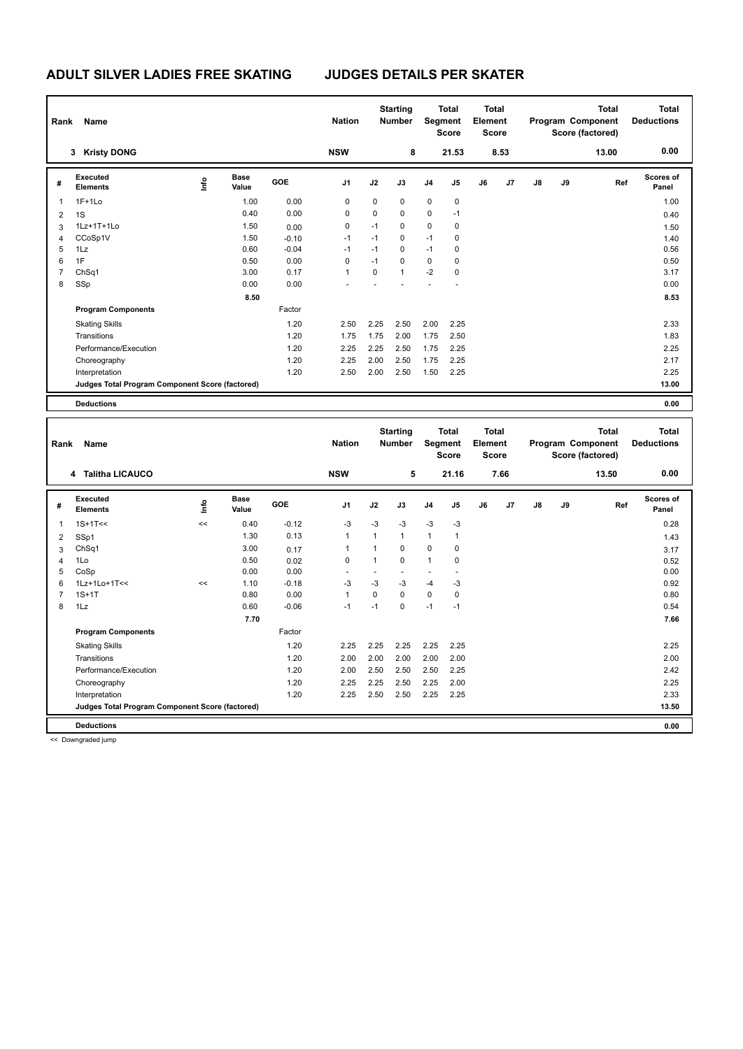| Rank           | Name                                            |    |                      |         | <b>Nation</b>  |             | <b>Starting</b><br><b>Number</b> |                | <b>Total</b><br>Segment<br><b>Score</b> | <b>Total</b><br>Element<br><b>Score</b> |      |               |    | <b>Total</b><br>Program Component<br>Score (factored) | <b>Total</b><br><b>Deductions</b> |
|----------------|-------------------------------------------------|----|----------------------|---------|----------------|-------------|----------------------------------|----------------|-----------------------------------------|-----------------------------------------|------|---------------|----|-------------------------------------------------------|-----------------------------------|
|                | 3 Kristy DONG                                   |    |                      |         | <b>NSW</b>     |             | 8                                |                | 21.53                                   |                                         | 8.53 |               |    | 13.00                                                 | 0.00                              |
| #              | <b>Executed</b><br><b>Elements</b>              | ۴ů | <b>Base</b><br>Value | GOE     | J <sub>1</sub> | J2          | J3                               | J <sub>4</sub> | J5                                      | J6                                      | J7   | $\mathsf{J}8$ | J9 | Ref                                                   | Scores of<br>Panel                |
| 1              | $1F+1Lo$                                        |    | 1.00                 | 0.00    | 0              | $\mathbf 0$ | $\mathbf 0$                      | $\mathbf 0$    | $\mathbf 0$                             |                                         |      |               |    |                                                       | 1.00                              |
| 2              | 1S                                              |    | 0.40                 | 0.00    | 0              | 0           | 0                                | $\mathbf 0$    | $-1$                                    |                                         |      |               |    |                                                       | 0.40                              |
| 3              | 1Lz+1T+1Lo                                      |    | 1.50                 | 0.00    | 0              | $-1$        | 0                                | $\mathbf 0$    | 0                                       |                                         |      |               |    |                                                       | 1.50                              |
| 4              | CCoSp1V                                         |    | 1.50                 | $-0.10$ | $-1$           | $-1$        | $\mathbf 0$                      | $-1$           | $\mathbf 0$                             |                                         |      |               |    |                                                       | 1.40                              |
| 5              | 1Lz                                             |    | 0.60                 | $-0.04$ | $-1$           | $-1$        | 0                                | $-1$           | 0                                       |                                         |      |               |    |                                                       | 0.56                              |
| 6              | 1F                                              |    | 0.50                 | 0.00    | 0              | $-1$        | $\Omega$                         | $\mathbf 0$    | 0                                       |                                         |      |               |    |                                                       | 0.50                              |
| $\overline{7}$ | Ch <sub>Sq1</sub>                               |    | 3.00                 | 0.17    | $\overline{1}$ | 0           | $\overline{1}$                   | $-2$           | 0                                       |                                         |      |               |    |                                                       | 3.17                              |
| 8              | SSp                                             |    | 0.00                 | 0.00    |                |             |                                  |                |                                         |                                         |      |               |    |                                                       | 0.00                              |
|                |                                                 |    | 8.50                 |         |                |             |                                  |                |                                         |                                         |      |               |    |                                                       | 8.53                              |
|                | <b>Program Components</b>                       |    |                      | Factor  |                |             |                                  |                |                                         |                                         |      |               |    |                                                       |                                   |
|                | <b>Skating Skills</b>                           |    |                      | 1.20    | 2.50           | 2.25        | 2.50                             | 2.00           | 2.25                                    |                                         |      |               |    |                                                       | 2.33                              |
|                | Transitions                                     |    |                      | 1.20    | 1.75           | 1.75        | 2.00                             | 1.75           | 2.50                                    |                                         |      |               |    |                                                       | 1.83                              |
|                | Performance/Execution                           |    |                      | 1.20    | 2.25           | 2.25        | 2.50                             | 1.75           | 2.25                                    |                                         |      |               |    |                                                       | 2.25                              |
|                | Choreography                                    |    |                      | 1.20    | 2.25           | 2.00        | 2.50                             | 1.75           | 2.25                                    |                                         |      |               |    |                                                       | 2.17                              |
|                | Interpretation                                  |    |                      | 1.20    | 2.50           | 2.00        | 2.50                             | 1.50           | 2.25                                    |                                         |      |               |    |                                                       | 2.25                              |
|                | Judges Total Program Component Score (factored) |    |                      |         |                |             |                                  |                |                                         |                                         |      |               |    |                                                       | 13.00                             |
|                | <b>Deductions</b>                               |    |                      |         |                |             |                                  |                |                                         |                                         |      |               |    |                                                       | 0.00                              |

| Rank           | Name                                            |      |                      |            | <b>Nation</b>  | <b>Starting</b><br><b>Number</b> |                          |                | <b>Total</b><br>Segment<br><b>Score</b> |    | <b>Total</b><br>Element<br><b>Score</b> |    | Program Component<br>Score (factored) | <b>Total</b><br><b>Deductions</b> |                           |
|----------------|-------------------------------------------------|------|----------------------|------------|----------------|----------------------------------|--------------------------|----------------|-----------------------------------------|----|-----------------------------------------|----|---------------------------------------|-----------------------------------|---------------------------|
|                | <b>Talitha LICAUCO</b><br>4                     |      |                      |            | <b>NSW</b>     |                                  | 5                        |                | 21.16                                   |    | 7.66                                    |    |                                       | 13.50                             | 0.00                      |
| #              | <b>Executed</b><br><b>Elements</b>              | ١nfo | <b>Base</b><br>Value | <b>GOE</b> | J <sub>1</sub> | J2                               | J3                       | J <sub>4</sub> | J <sub>5</sub>                          | J6 | J <sub>7</sub>                          | J8 | J9                                    | Ref                               | <b>Scores of</b><br>Panel |
| 1              | $1S+1T<<$                                       | <<   | 0.40                 | $-0.12$    | $-3$           | $-3$                             | $-3$                     | $-3$           | $-3$                                    |    |                                         |    |                                       |                                   | 0.28                      |
| 2              | SSp1                                            |      | 1.30                 | 0.13       | $\mathbf{1}$   | $\mathbf{1}$                     | $\mathbf{1}$             | $\mathbf{1}$   | $\mathbf{1}$                            |    |                                         |    |                                       |                                   | 1.43                      |
| 3              | ChSq1                                           |      | 3.00                 | 0.17       | 1              | 1                                | $\Omega$                 | $\Omega$       | 0                                       |    |                                         |    |                                       |                                   | 3.17                      |
| $\overline{4}$ | 1Lo                                             |      | 0.50                 | 0.02       | $\mathbf 0$    | 1                                | $\Omega$                 | $\mathbf{1}$   | $\mathbf 0$                             |    |                                         |    |                                       |                                   | 0.52                      |
| 5              | CoSp                                            |      | 0.00                 | 0.00       |                |                                  | $\overline{\phantom{a}}$ |                |                                         |    |                                         |    |                                       |                                   | 0.00                      |
| 6              | 1Lz+1Lo+1T<<                                    | <<   | 1.10                 | $-0.18$    | $-3$           | $-3$                             | $-3$                     | $-4$           | $-3$                                    |    |                                         |    |                                       |                                   | 0.92                      |
| 7              | $1S+1T$                                         |      | 0.80                 | 0.00       | 1              | 0                                | $\mathbf 0$              | $\mathbf 0$    | 0                                       |    |                                         |    |                                       |                                   | 0.80                      |
| 8              | 1Lz                                             |      | 0.60                 | $-0.06$    | $-1$           | $-1$                             | 0                        | $-1$           | $-1$                                    |    |                                         |    |                                       |                                   | 0.54                      |
|                |                                                 |      | 7.70                 |            |                |                                  |                          |                |                                         |    |                                         |    |                                       |                                   | 7.66                      |
|                | <b>Program Components</b>                       |      |                      | Factor     |                |                                  |                          |                |                                         |    |                                         |    |                                       |                                   |                           |
|                | <b>Skating Skills</b>                           |      |                      | 1.20       | 2.25           | 2.25                             | 2.25                     | 2.25           | 2.25                                    |    |                                         |    |                                       |                                   | 2.25                      |
|                | Transitions                                     |      |                      | 1.20       | 2.00           | 2.00                             | 2.00                     | 2.00           | 2.00                                    |    |                                         |    |                                       |                                   | 2.00                      |
|                | Performance/Execution                           |      |                      | 1.20       | 2.00           | 2.50                             | 2.50                     | 2.50           | 2.25                                    |    |                                         |    |                                       |                                   | 2.42                      |
|                | Choreography                                    |      |                      | 1.20       | 2.25           | 2.25                             | 2.50                     | 2.25           | 2.00                                    |    |                                         |    |                                       |                                   | 2.25                      |
|                | Interpretation                                  |      |                      | 1.20       | 2.25           | 2.50                             | 2.50                     | 2.25           | 2.25                                    |    |                                         |    |                                       |                                   | 2.33                      |
|                | Judges Total Program Component Score (factored) |      |                      |            |                |                                  |                          |                |                                         |    |                                         |    |                                       |                                   | 13.50                     |
|                | <b>Deductions</b>                               |      |                      |            |                |                                  |                          |                |                                         |    |                                         |    |                                       |                                   | 0.00                      |

<< Downgraded jump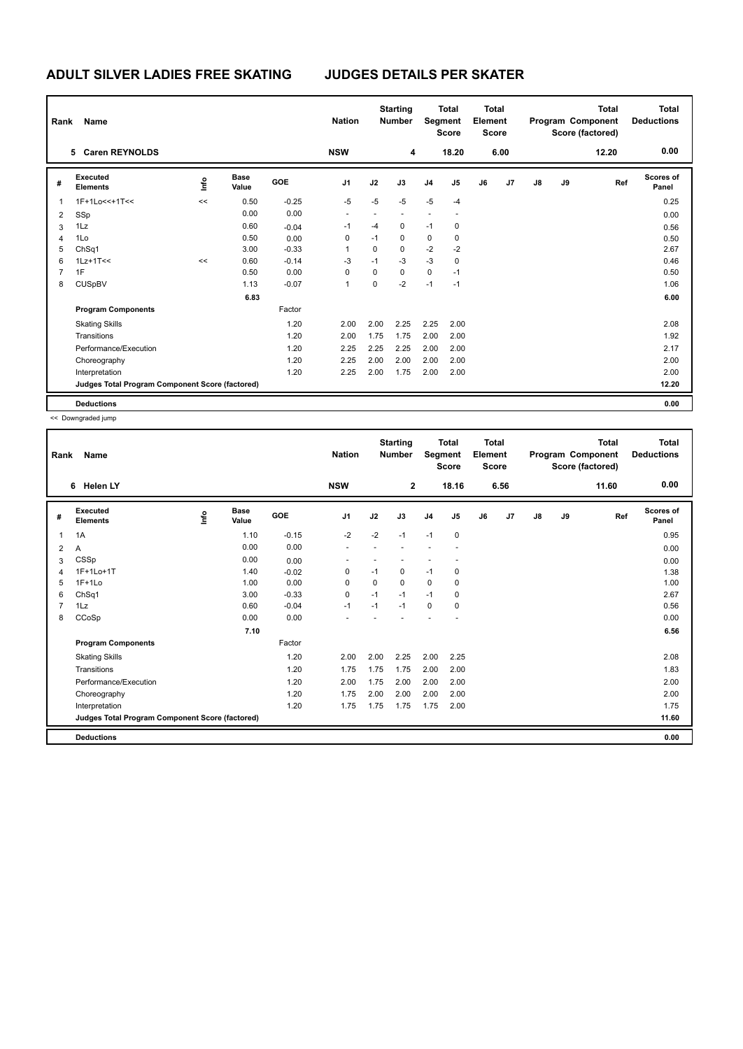| Rank           | Name                                            |    |                      |            | <b>Nation</b>  |          | <b>Starting</b><br><b>Number</b> |                | <b>Total</b><br>Segment<br><b>Score</b> | Total<br>Element<br><b>Score</b> |      |    |    | <b>Total</b><br>Program Component<br>Score (factored) | <b>Total</b><br><b>Deductions</b> |
|----------------|-------------------------------------------------|----|----------------------|------------|----------------|----------|----------------------------------|----------------|-----------------------------------------|----------------------------------|------|----|----|-------------------------------------------------------|-----------------------------------|
|                | 5 Caren REYNOLDS                                |    |                      |            | <b>NSW</b>     |          | 4                                |                | 18.20                                   |                                  | 6.00 |    |    | 12.20                                                 | 0.00                              |
| #              | Executed<br><b>Elements</b>                     | ۴ů | <b>Base</b><br>Value | <b>GOE</b> | J <sub>1</sub> | J2       | J3                               | J <sub>4</sub> | J <sub>5</sub>                          | J6                               | J7   | J8 | J9 | Ref                                                   | Scores of<br>Panel                |
| 1              | 1F+1Lo<<+1T<<                                   | << | 0.50                 | $-0.25$    | $-5$           | $-5$     | $-5$                             | $-5$           | $-4$                                    |                                  |      |    |    |                                                       | 0.25                              |
| 2              | SSp                                             |    | 0.00                 | 0.00       |                |          |                                  |                |                                         |                                  |      |    |    |                                                       | 0.00                              |
| 3              | 1Lz                                             |    | 0.60                 | $-0.04$    | $-1$           | $-4$     | $\mathbf 0$                      | $-1$           | 0                                       |                                  |      |    |    |                                                       | 0.56                              |
| 4              | 1Lo                                             |    | 0.50                 | 0.00       | 0              | $-1$     | 0                                | $\pmb{0}$      | 0                                       |                                  |      |    |    |                                                       | 0.50                              |
| 5              | ChSq1                                           |    | 3.00                 | $-0.33$    | 1              | $\Omega$ | $\mathbf 0$                      | $-2$           | $-2$                                    |                                  |      |    |    |                                                       | 2.67                              |
| 6              | $1Lz+1T<<$                                      | << | 0.60                 | $-0.14$    | $-3$           | $-1$     | $-3$                             | $-3$           | $\mathbf 0$                             |                                  |      |    |    |                                                       | 0.46                              |
| $\overline{7}$ | 1F                                              |    | 0.50                 | 0.00       | 0              | $\Omega$ | $\mathbf 0$                      | $\mathbf 0$    | $-1$                                    |                                  |      |    |    |                                                       | 0.50                              |
| 8              | <b>CUSpBV</b>                                   |    | 1.13                 | $-0.07$    | 1              | $\Omega$ | $-2$                             | $-1$           | $-1$                                    |                                  |      |    |    |                                                       | 1.06                              |
|                |                                                 |    | 6.83                 |            |                |          |                                  |                |                                         |                                  |      |    |    |                                                       | 6.00                              |
|                | <b>Program Components</b>                       |    |                      | Factor     |                |          |                                  |                |                                         |                                  |      |    |    |                                                       |                                   |
|                | <b>Skating Skills</b>                           |    |                      | 1.20       | 2.00           | 2.00     | 2.25                             | 2.25           | 2.00                                    |                                  |      |    |    |                                                       | 2.08                              |
|                | Transitions                                     |    |                      | 1.20       | 2.00           | 1.75     | 1.75                             | 2.00           | 2.00                                    |                                  |      |    |    |                                                       | 1.92                              |
|                | Performance/Execution                           |    |                      | 1.20       | 2.25           | 2.25     | 2.25                             | 2.00           | 2.00                                    |                                  |      |    |    |                                                       | 2.17                              |
|                | Choreography                                    |    |                      | 1.20       | 2.25           | 2.00     | 2.00                             | 2.00           | 2.00                                    |                                  |      |    |    |                                                       | 2.00                              |
|                | Interpretation                                  |    |                      | 1.20       | 2.25           | 2.00     | 1.75                             | 2.00           | 2.00                                    |                                  |      |    |    |                                                       | 2.00                              |
|                | Judges Total Program Component Score (factored) |    |                      |            |                |          |                                  |                |                                         |                                  |      |    |    |                                                       | 12.20                             |
|                | <b>Deductions</b>                               |    |                      |            |                |          |                                  |                |                                         |                                  |      |    |    |                                                       | 0.00                              |

<< Downgraded jump

| Rank           | Name                                            |    |                      |         | <b>Nation</b>  |      | <b>Starting</b><br><b>Number</b> | Segment        | <b>Total</b><br><b>Score</b> | <b>Total</b><br>Element<br>Score |      |               |    | <b>Total</b><br>Program Component<br>Score (factored) | <b>Total</b><br><b>Deductions</b> |
|----------------|-------------------------------------------------|----|----------------------|---------|----------------|------|----------------------------------|----------------|------------------------------|----------------------------------|------|---------------|----|-------------------------------------------------------|-----------------------------------|
|                | 6<br><b>Helen LY</b>                            |    |                      |         | <b>NSW</b>     |      | $\overline{2}$                   |                | 18.16                        |                                  | 6.56 |               |    | 11.60                                                 | 0.00                              |
| #              | Executed<br><b>Elements</b>                     | ۴ů | <b>Base</b><br>Value | GOE     | J <sub>1</sub> | J2   | J3                               | J <sub>4</sub> | J5                           | J6                               | J7   | $\mathsf{J}8$ | J9 | Ref                                                   | Scores of<br>Panel                |
| 1              | 1A                                              |    | 1.10                 | $-0.15$ | $-2$           | $-2$ | $-1$                             | $-1$           | 0                            |                                  |      |               |    |                                                       | 0.95                              |
| 2              | A                                               |    | 0.00                 | 0.00    |                |      |                                  |                |                              |                                  |      |               |    |                                                       | 0.00                              |
| 3              | CSSp                                            |    | 0.00                 | 0.00    |                |      |                                  |                |                              |                                  |      |               |    |                                                       | 0.00                              |
| Δ              | 1F+1Lo+1T                                       |    | 1.40                 | $-0.02$ | 0              | $-1$ | 0                                | $-1$           | 0                            |                                  |      |               |    |                                                       | 1.38                              |
| 5              | $1F+1Lo$                                        |    | 1.00                 | 0.00    | 0              | 0    | 0                                | 0              | 0                            |                                  |      |               |    |                                                       | 1.00                              |
| 6              | Ch <sub>Sq1</sub>                               |    | 3.00                 | $-0.33$ | $\Omega$       | $-1$ | $-1$                             | $-1$           | 0                            |                                  |      |               |    |                                                       | 2.67                              |
| $\overline{7}$ | 1Lz                                             |    | 0.60                 | $-0.04$ | $-1$           | $-1$ | $-1$                             | $\Omega$       | $\mathbf 0$                  |                                  |      |               |    |                                                       | 0.56                              |
| 8              | CCoSp                                           |    | 0.00                 | 0.00    |                |      |                                  |                |                              |                                  |      |               |    |                                                       | 0.00                              |
|                |                                                 |    | 7.10                 |         |                |      |                                  |                |                              |                                  |      |               |    |                                                       | 6.56                              |
|                | <b>Program Components</b>                       |    |                      | Factor  |                |      |                                  |                |                              |                                  |      |               |    |                                                       |                                   |
|                | <b>Skating Skills</b>                           |    |                      | 1.20    | 2.00           | 2.00 | 2.25                             | 2.00           | 2.25                         |                                  |      |               |    |                                                       | 2.08                              |
|                | Transitions                                     |    |                      | 1.20    | 1.75           | 1.75 | 1.75                             | 2.00           | 2.00                         |                                  |      |               |    |                                                       | 1.83                              |
|                | Performance/Execution                           |    |                      | 1.20    | 2.00           | 1.75 | 2.00                             | 2.00           | 2.00                         |                                  |      |               |    |                                                       | 2.00                              |
|                | Choreography                                    |    |                      | 1.20    | 1.75           | 2.00 | 2.00                             | 2.00           | 2.00                         |                                  |      |               |    |                                                       | 2.00                              |
|                | Interpretation                                  |    |                      | 1.20    | 1.75           | 1.75 | 1.75                             | 1.75           | 2.00                         |                                  |      |               |    |                                                       | 1.75                              |
|                | Judges Total Program Component Score (factored) |    |                      |         |                |      |                                  |                |                              |                                  |      |               |    |                                                       | 11.60                             |
|                | <b>Deductions</b>                               |    |                      |         |                |      |                                  |                |                              |                                  |      |               |    |                                                       | 0.00                              |
|                |                                                 |    |                      |         |                |      |                                  |                |                              |                                  |      |               |    |                                                       |                                   |